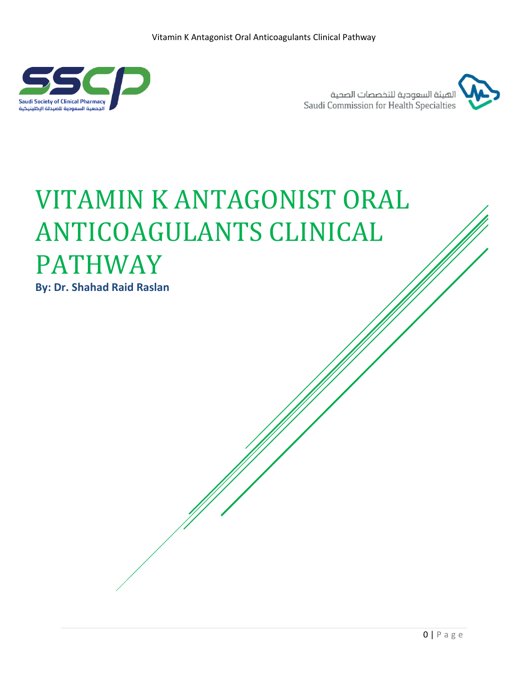

الهيئة السعودية للتخصصات الصحية Saudi Commission for Health Specialties



# VITAMIN K ANTAGONIST ORAL ANTICOAGULANTS CLINICAL PATHWAY

**By: Dr. Shahad Raid Raslan**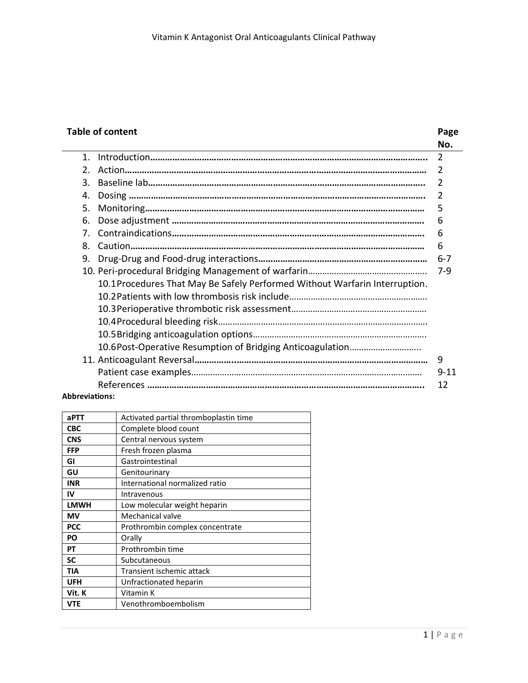## **Table of content Page**

|                                |                                                                             | No.            |
|--------------------------------|-----------------------------------------------------------------------------|----------------|
| $\mathbf 1$                    |                                                                             | $\overline{2}$ |
| $\mathfrak{D}$ .               |                                                                             | 2              |
| 3.                             |                                                                             | 2              |
| 4.                             |                                                                             | $\overline{2}$ |
| 5.                             |                                                                             | 5              |
| 6.                             |                                                                             | 6              |
| $7_{\scriptscriptstyle{\sim}}$ |                                                                             | 6              |
| 8.                             |                                                                             | 6              |
| 9.                             |                                                                             | $6 - 7$        |
|                                |                                                                             | 7-9            |
|                                | 10.1 Procedures That May Be Safely Performed Without Warfarin Interruption. |                |
|                                |                                                                             |                |
|                                |                                                                             |                |
|                                |                                                                             |                |
|                                |                                                                             |                |
|                                |                                                                             |                |
|                                |                                                                             | 9              |
|                                |                                                                             | $9 - 11$       |
|                                |                                                                             | 12             |

#### **Abbreviations:**

| aPTT        | Activated partial thromboplastin time |
|-------------|---------------------------------------|
| <b>CBC</b>  | Complete blood count                  |
| <b>CNS</b>  | Central nervous system                |
| <b>FFP</b>  | Fresh frozen plasma                   |
| GI          | Gastrointestinal                      |
| GU          | Genitourinary                         |
| <b>INR</b>  | International normalized ratio        |
| IV          | Intravenous                           |
| <b>LMWH</b> | Low molecular weight heparin          |
| ΜV          | Mechanical valve                      |
| <b>PCC</b>  | Prothrombin complex concentrate       |
| PO          | Orally                                |
| РT          | Prothrombin time                      |
| SC          | Subcutaneous                          |
| TIA         | Transient ischemic attack             |
| <b>UFH</b>  | Unfractionated heparin                |
| Vit. K      | Vitamin K                             |
| <b>VTE</b>  | Venothromboembolism                   |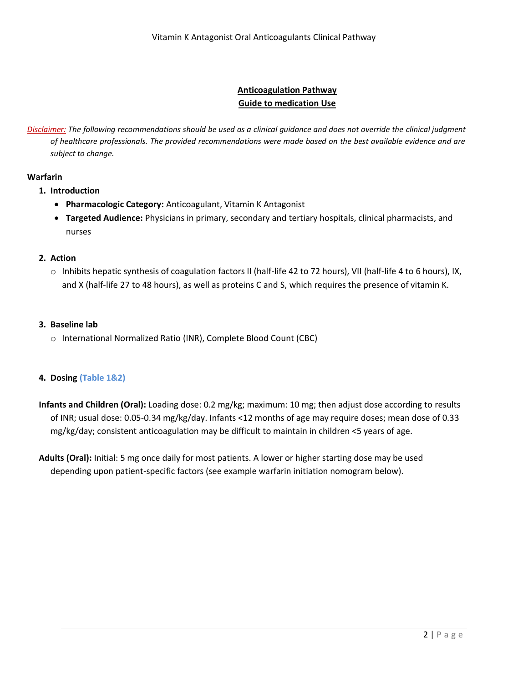### **Anticoagulation Pathway Guide to medication Use**

*Disclaimer: The following recommendations should be used as a clinical guidance and does not override the clinical judgment of healthcare professionals. The provided recommendations were made based on the best available evidence and are subject to change.*

#### **Warfarin**

- **1. Introduction**
	- **Pharmacologic Category:** Anticoagulant, Vitamin K Antagonist
	- **Targeted Audience:** Physicians in primary, secondary and tertiary hospitals, clinical pharmacists, and nurses

#### **2. Action**

 $\circ$  Inhibits hepatic synthesis of coagulation factors II (half-life 42 to 72 hours), VII (half-life 4 to 6 hours), IX, and X (half-life 27 to 48 hours), as well as proteins C and S, which requires the presence of vitamin K.

#### **3. Baseline lab**

o International Normalized Ratio (INR), Complete Blood Count (CBC)

#### **4. Dosing (Table 1&2)**

**Infants and Children (Oral):** Loading dose: 0.2 mg/kg; maximum: 10 mg; then adjust dose according to results of INR; usual dose: 0.05-0.34 mg/kg/day. Infants <12 months of age may require doses; mean dose of 0.33 mg/kg/day; consistent anticoagulation may be difficult to maintain in children <5 years of age.

**Adults (Oral):** Initial: 5 mg once daily for most patients. A lower or higher starting dose may be used depending upon patient-specific factors (see example warfarin initiation nomogram below).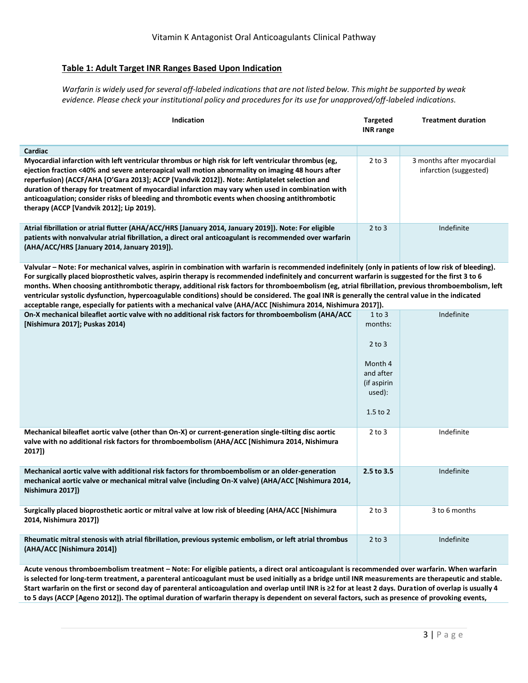#### **Table 1: Adult Target INR Ranges Based Upon Indication**

*Warfarin is widely used for several off-labeled indications that are not listed below. This might be supported by weak evidence. Please check your institutional policy and procedures for its use for unapproved/off-labeled indications.*

| <b>Indication</b>                                                                                                                                                                                                                                                                                                                                                                                                                                                                                                                                           | <b>Targeted</b><br><b>INR</b> range | <b>Treatment duration</b>                           |
|-------------------------------------------------------------------------------------------------------------------------------------------------------------------------------------------------------------------------------------------------------------------------------------------------------------------------------------------------------------------------------------------------------------------------------------------------------------------------------------------------------------------------------------------------------------|-------------------------------------|-----------------------------------------------------|
| Cardiac                                                                                                                                                                                                                                                                                                                                                                                                                                                                                                                                                     |                                     |                                                     |
| Myocardial infarction with left ventricular thrombus or high risk for left ventricular thrombus (eg,<br>ejection fraction <40% and severe anteroapical wall motion abnormality on imaging 48 hours after<br>reperfusion) (ACCF/AHA [O'Gara 2013]; ACCP [Vandvik 2012]). Note: Antiplatelet selection and<br>duration of therapy for treatment of myocardial infarction may vary when used in combination with<br>anticoagulation; consider risks of bleeding and thrombotic events when choosing antithrombotic<br>therapy (ACCP [Vandvik 2012]; Lip 2019). | $2$ to $3$                          | 3 months after myocardial<br>infarction (suggested) |
| Atrial fibrillation or atrial flutter (AHA/ACC/HRS [January 2014, January 2019]). Note: For eligible<br>patients with nonvalvular atrial fibrillation, a direct oral anticoagulant is recommended over warfarin<br>(AHA/ACC/HRS [January 2014, January 2019]).                                                                                                                                                                                                                                                                                              | $2$ to $3$                          | Indefinite                                          |
| Uebuden - Netai Fenweekenisel uebre espirin ja espekinstien with werferin is resemperated indefinitely feaby in petistate of low righted blackhading                                                                                                                                                                                                                                                                                                                                                                                                        |                                     |                                                     |

**Valvular – Note: For mechanical valves, aspirin in combination with warfarin is recommended indefinitely (only in patients of low risk of bleeding). For surgically placed bioprosthetic valves, aspirin therapy is recommended indefinitely and concurrent warfarin is suggested for the first 3 to 6 months. When choosing antithrombotic therapy, additional risk factors for thromboembolism (eg, atrial fibrillation, previous thromboembolism, left ventricular systolic dysfunction, hypercoagulable conditions) should be considered. The goal INR is generally the central value in the indicated acceptable range, especially for patients with a mechanical valve (AHA/ACC [Nishimura 2014, Nishimura 2017]).**

| On-X mechanical bileaflet aortic valve with no additional risk factors for thromboembolism (AHA/ACC<br>[Nishimura 2017]; Puskas 2014)                                                                                      | $1$ to $3$<br>months:<br>$2$ to $3$<br>Month 4<br>and after<br>(if aspirin<br>used):<br>$1.5$ to $2$ | Indefinite    |
|----------------------------------------------------------------------------------------------------------------------------------------------------------------------------------------------------------------------------|------------------------------------------------------------------------------------------------------|---------------|
| Mechanical bileaflet aortic valve (other than On-X) or current-generation single-tilting disc aortic<br>valve with no additional risk factors for thromboembolism (AHA/ACC [Nishimura 2014, Nishimura<br>2017])            | $2$ to $3$                                                                                           | Indefinite    |
| Mechanical aortic valve with additional risk factors for thromboembolism or an older-generation<br>mechanical aortic valve or mechanical mitral valve (including On-X valve) (AHA/ACC [Nishimura 2014,<br>Nishimura 2017]) | 2.5 to 3.5                                                                                           | Indefinite    |
| Surgically placed bioprosthetic aortic or mitral valve at low risk of bleeding (AHA/ACC [Nishimura<br>2014, Nishimura 2017])                                                                                               | $2$ to $3$                                                                                           | 3 to 6 months |
| Rheumatic mitral stenosis with atrial fibrillation, previous systemic embolism, or left atrial thrombus<br>(AHA/ACC [Nishimura 2014])                                                                                      | $2$ to $3$                                                                                           | Indefinite    |

**Acute venous thromboembolism treatment – Note: For eligible patients, a direct oral anticoagulant is recommended over warfarin. When warfarin is selected for long-term treatment, a parenteral anticoagulant must be used initially as a bridge until INR measurements are therapeutic and stable. Start warfarin on the first or second day of parenteral anticoagulation and overlap until INR is ≥2 for at least 2 days. Duration of overlap is usually 4 to 5 days (ACCP [Ageno 2012]). The optimal duration of warfarin therapy is dependent on several factors, such as presence of provoking events,**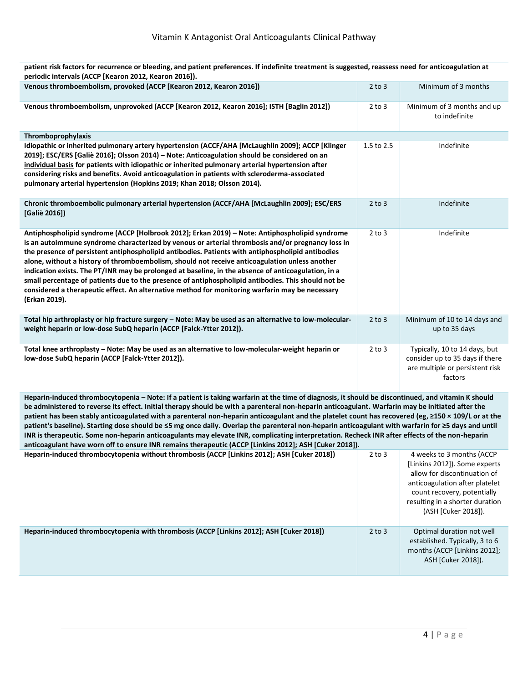| Venous thromboembolism, provoked (ACCP [Kearon 2012, Kearon 2016])                                                                                                                                                                                                                                                                                                                                                                                                                                                                                                                                                                                                                                                                           | $2$ to $3$ | Minimum of 3 months                                                                                            |
|----------------------------------------------------------------------------------------------------------------------------------------------------------------------------------------------------------------------------------------------------------------------------------------------------------------------------------------------------------------------------------------------------------------------------------------------------------------------------------------------------------------------------------------------------------------------------------------------------------------------------------------------------------------------------------------------------------------------------------------------|------------|----------------------------------------------------------------------------------------------------------------|
| Venous thromboembolism, unprovoked (ACCP [Kearon 2012, Kearon 2016]; ISTH [Baglin 2012])                                                                                                                                                                                                                                                                                                                                                                                                                                                                                                                                                                                                                                                     | $2$ to $3$ | Minimum of 3 months and up<br>to indefinite                                                                    |
| Thromboprophylaxis                                                                                                                                                                                                                                                                                                                                                                                                                                                                                                                                                                                                                                                                                                                           |            |                                                                                                                |
| Idiopathic or inherited pulmonary artery hypertension (ACCF/AHA [McLaughlin 2009]; ACCP [Klinger<br>2019]; ESC/ERS [Galiè 2016]; Olsson 2014) – Note: Anticoagulation should be considered on an<br>individual basis for patients with idiopathic or inherited pulmonary arterial hypertension after<br>considering risks and benefits. Avoid anticoagulation in patients with scleroderma-associated<br>pulmonary arterial hypertension (Hopkins 2019; Khan 2018; Olsson 2014).                                                                                                                                                                                                                                                             | 1.5 to 2.5 | Indefinite                                                                                                     |
| Chronic thromboembolic pulmonary arterial hypertension (ACCF/AHA [McLaughlin 2009]; ESC/ERS<br>[Galiè 2016])                                                                                                                                                                                                                                                                                                                                                                                                                                                                                                                                                                                                                                 | $2$ to $3$ | Indefinite                                                                                                     |
| Antiphospholipid syndrome (ACCP [Holbrook 2012]; Erkan 2019) – Note: Antiphospholipid syndrome<br>is an autoimmune syndrome characterized by venous or arterial thrombosis and/or pregnancy loss in<br>the presence of persistent antiphospholipid antibodies. Patients with antiphospholipid antibodies<br>alone, without a history of thromboembolism, should not receive anticoagulation unless another<br>indication exists. The PT/INR may be prolonged at baseline, in the absence of anticoagulation, in a<br>small percentage of patients due to the presence of antiphospholipid antibodies. This should not be<br>considered a therapeutic effect. An alternative method for monitoring warfarin may be necessary<br>(Erkan 2019). | $2$ to $3$ | Indefinite                                                                                                     |
| Total hip arthroplasty or hip fracture surgery - Note: May be used as an alternative to low-molecular-<br>weight heparin or low-dose SubQ heparin (ACCP [Falck-Ytter 2012]).                                                                                                                                                                                                                                                                                                                                                                                                                                                                                                                                                                 | $2$ to $3$ | Minimum of 10 to 14 days and<br>up to 35 days                                                                  |
| Total knee arthroplasty - Note: May be used as an alternative to low-molecular-weight heparin or<br>low-dose SubQ heparin (ACCP [Falck-Ytter 2012]).                                                                                                                                                                                                                                                                                                                                                                                                                                                                                                                                                                                         | $2$ to $3$ | Typically, 10 to 14 days, but<br>consider up to 35 days if there<br>are multiple or persistent risk<br>factors |

**patient risk factors for recurrence or bleeding, and patient preferences. If indefinite treatment is suggested, reassess need for anticoagulation at periodic intervals (ACCP [Kearon 2012, Kearon 2016]).**

**Heparin-induced thrombocytopenia – Note: If a patient is taking warfarin at the time of diagnosis, it should be discontinued, and vitamin K should be administered to reverse its effect. Initial therapy should be with a parenteral non-heparin anticoagulant. Warfarin may be initiated after the patient has been stably anticoagulated with a parenteral non-heparin anticoagulant and the platelet count has recovered (eg, ≥150 × 109/L or at the patient's baseline). Starting dose should be ≤5 mg once daily. Overlap the parenteral non-heparin anticoagulant with warfarin for ≥5 days and until INR is therapeutic. Some non-heparin anticoagulants may elevate INR, complicating interpretation. Recheck INR after effects of the non-heparin anticoagulant have worn off to ensure INR remains therapeutic (ACCP [Linkins 2012]; ASH [Cuker 2018]).**

| Heparin-induced thrombocytopenia without thrombosis (ACCP [Linkins 2012]; ASH [Cuker 2018]) | $2$ to $3$ | 4 weeks to 3 months (ACCP<br>[Linkins 2012]). Some experts<br>allow for discontinuation of<br>anticoagulation after platelet<br>count recovery, potentially<br>resulting in a shorter duration<br>(ASH [Cuker 2018]). |
|---------------------------------------------------------------------------------------------|------------|-----------------------------------------------------------------------------------------------------------------------------------------------------------------------------------------------------------------------|
| Heparin-induced thrombocytopenia with thrombosis (ACCP [Linkins 2012]; ASH [Cuker 2018])    | $2$ to $3$ | Optimal duration not well<br>established. Typically, 3 to 6<br>months (ACCP [Linkins 2012];<br>ASH [Cuker 2018]).                                                                                                     |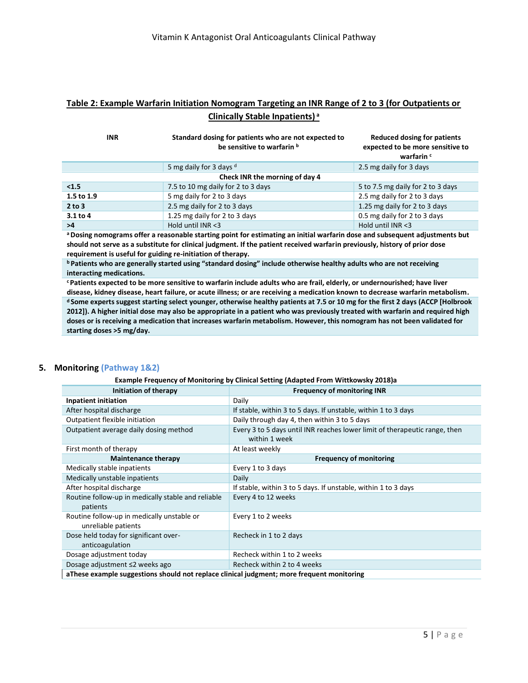#### **Table 2: Example Warfarin Initiation Nomogram Targeting an INR Range of 2 to 3 (for Outpatients or Clinically Stable Inpatients) <sup>a</sup>**

| <b>INR</b>                     | Standard dosing for patients who are not expected to<br>be sensitive to warfarin b | Reduced dosing for patients<br>expected to be more sensitive to<br>warfarin c |  |  |
|--------------------------------|------------------------------------------------------------------------------------|-------------------------------------------------------------------------------|--|--|
|                                | 5 mg daily for 3 days d                                                            | 2.5 mg daily for 3 days                                                       |  |  |
| Check INR the morning of day 4 |                                                                                    |                                                                               |  |  |
| < 1.5                          | 7.5 to 10 mg daily for 2 to 3 days                                                 | 5 to 7.5 mg daily for 2 to 3 days                                             |  |  |
| 1.5 to 1.9                     | 5 mg daily for 2 to 3 days                                                         | 2.5 mg daily for 2 to 3 days                                                  |  |  |
| 2 to 3                         | 2.5 mg daily for 2 to 3 days                                                       | 1.25 mg daily for 2 to 3 days                                                 |  |  |
| $3.1$ to 4                     | 1.25 mg daily for 2 to 3 days                                                      | 0.5 mg daily for 2 to 3 days                                                  |  |  |
| >4                             | Hold until $INR < 3$                                                               | Hold until INR <3                                                             |  |  |

**<sup>a</sup>Dosing nomograms offer a reasonable starting point for estimating an initial warfarin dose and subsequent adjustments but should not serve as a substitute for clinical judgment. If the patient received warfarin previously, history of prior dose requirement is useful for guiding re-initiation of therapy.**

**<sup>b</sup>Patients who are generally started using "standard dosing" include otherwise healthy adults who are not receiving interacting medications.**

**<sup>c</sup>Patients expected to be more sensitive to warfarin include adults who are frail, elderly, or undernourished; have liver disease, kidney disease, heart failure, or acute illness; or are receiving a medication known to decrease warfarin metabolism. <sup>d</sup>Some experts suggest starting select younger, otherwise healthy patients at 7.5 or 10 mg for the first 2 days (ACCP [Holbrook 2012]). A higher initial dose may also be appropriate in a patient who was previously treated with warfarin and required high doses or is receiving a medication that increases warfarin metabolism. However, this nomogram has not been validated for starting doses >5 mg/day.**

#### **5. Monitoring (Pathway 1&2)**

#### **Example Frequency of Monitoring by Clinical Setting (Adapted From Wittkowsky 2018)a**

| Initiation of therapy                                                                     | <b>Frequency of monitoring INR</b>                                         |  |  |
|-------------------------------------------------------------------------------------------|----------------------------------------------------------------------------|--|--|
| Inpatient initiation                                                                      | Daily                                                                      |  |  |
| After hospital discharge                                                                  | If stable, within 3 to 5 days. If unstable, within 1 to 3 days             |  |  |
| Outpatient flexible initiation                                                            | Daily through day 4, then within 3 to 5 days                               |  |  |
| Outpatient average daily dosing method                                                    | Every 3 to 5 days until INR reaches lower limit of therapeutic range, then |  |  |
|                                                                                           | within 1 week                                                              |  |  |
| First month of therapy                                                                    | At least weekly                                                            |  |  |
| <b>Maintenance therapy</b>                                                                | <b>Frequency of monitoring</b>                                             |  |  |
| Medically stable inpatients                                                               | Every 1 to 3 days                                                          |  |  |
| Medically unstable inpatients                                                             | Daily                                                                      |  |  |
| After hospital discharge                                                                  | If stable, within 3 to 5 days. If unstable, within 1 to 3 days             |  |  |
| Routine follow-up in medically stable and reliable<br>patients                            | Every 4 to 12 weeks                                                        |  |  |
| Routine follow-up in medically unstable or<br>unreliable patients                         | Every 1 to 2 weeks                                                         |  |  |
| Dose held today for significant over-<br>anticoagulation                                  | Recheck in 1 to 2 days                                                     |  |  |
| Dosage adjustment today                                                                   | Recheck within 1 to 2 weeks                                                |  |  |
| Dosage adjustment ≤2 weeks ago                                                            | Recheck within 2 to 4 weeks                                                |  |  |
| aThese example suggestions should not replace clinical judgment; more frequent monitoring |                                                                            |  |  |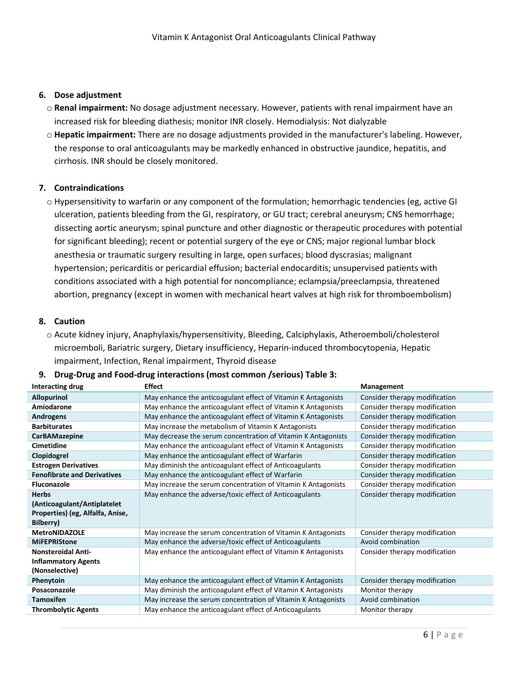#### **6. Dose adjustment**

- o **Renal impairment:** No dosage adjustment necessary. However, patients with renal impairment have an increased risk for bleeding diathesis; monitor INR closely. Hemodialysis: Not dialyzable
- o **Hepatic impairment:** There are no dosage adjustments provided in the manufacturer's labeling. However, the response to oral anticoagulants may be markedly enhanced in obstructive jaundice, hepatitis, and cirrhosis. INR should be closely monitored.

#### **7. Contraindications**

o Hypersensitivity to warfarin or any component of the formulation; hemorrhagic tendencies (eg, active GI ulceration, patients bleeding from the GI, respiratory, or GU tract; cerebral aneurysm; CNS hemorrhage; dissecting aortic aneurysm; spinal puncture and other diagnostic or therapeutic procedures with potential for significant bleeding); recent or potential surgery of the eye or CNS; major regional lumbar block anesthesia or traumatic surgery resulting in large, open surfaces; blood dyscrasias; malignant hypertension; pericarditis or pericardial effusion; bacterial endocarditis; unsupervised patients with conditions associated with a high potential for noncompliance; eclampsia/preeclampsia, threatened abortion, pregnancy (except in women with mechanical heart valves at high risk for thromboembolism)

#### **8. Caution**

o Acute kidney injury, Anaphylaxis/hypersensitivity, Bleeding, Calciphylaxis, Atheroemboli/cholesterol microemboli, Bariatric surgery, Dietary insufficiency, Heparin-induced thrombocytopenia, Hepatic impairment, Infection, Renal impairment, Thyroid disease

| Interacting drug                   | <b>Effect</b>                                                  | Management                    |
|------------------------------------|----------------------------------------------------------------|-------------------------------|
| <b>Allopurinol</b>                 | May enhance the anticoagulant effect of Vitamin K Antagonists  | Consider therapy modification |
| Amiodarone                         | May enhance the anticoagulant effect of Vitamin K Antagonists  | Consider therapy modification |
| Androgens                          | May enhance the anticoagulant effect of Vitamin K Antagonists  | Consider therapy modification |
| <b>Barbiturates</b>                | May increase the metabolism of Vitamin K Antagonists           | Consider therapy modification |
| <b>CarBAMazepine</b>               | May decrease the serum concentration of Vitamin K Antagonists  | Consider therapy modification |
| <b>Cimetidine</b>                  | May enhance the anticoagulant effect of Vitamin K Antagonists  | Consider therapy modification |
| Clopidogrel                        | May enhance the anticoagulant effect of Warfarin               | Consider therapy modification |
| <b>Estrogen Derivatives</b>        | May diminish the anticoagulant effect of Anticoagulants        | Consider therapy modification |
| <b>Fenofibrate and Derivatives</b> | May enhance the anticoagulant effect of Warfarin               | Consider therapy modification |
| <b>Fluconazole</b>                 | May increase the serum concentration of Vitamin K Antagonists  | Consider therapy modification |
| <b>Herbs</b>                       | May enhance the adverse/toxic effect of Anticoagulants         | Consider therapy modification |
| (Anticoagulant/Antiplatelet        |                                                                |                               |
| Properties) (eg, Alfalfa, Anise,   |                                                                |                               |
| Bilberry)                          |                                                                |                               |
| <b>MetroNIDAZOLE</b>               | May increase the serum concentration of Vitamin K Antagonists  | Consider therapy modification |
| <b>MiFEPRIStone</b>                | May enhance the adverse/toxic effect of Anticoagulants         | Avoid combination             |
| <b>Nonsteroidal Anti-</b>          | May enhance the anticoagulant effect of Vitamin K Antagonists  | Consider therapy modification |
| <b>Inflammatory Agents</b>         |                                                                |                               |
| (Nonselective)                     |                                                                |                               |
| Phenytoin                          | May enhance the anticoagulant effect of Vitamin K Antagonists  | Consider therapy modification |
| Posaconazole                       | May diminish the anticoagulant effect of Vitamin K Antagonists | Monitor therapy               |
| <b>Tamoxifen</b>                   | May increase the serum concentration of Vitamin K Antagonists  | Avoid combination             |
| <b>Thrombolytic Agents</b>         | May enhance the anticoagulant effect of Anticoagulants         | Monitor therapy               |

#### **9. Drug-Drug and Food-drug interactions (most common /serious) Table 3:**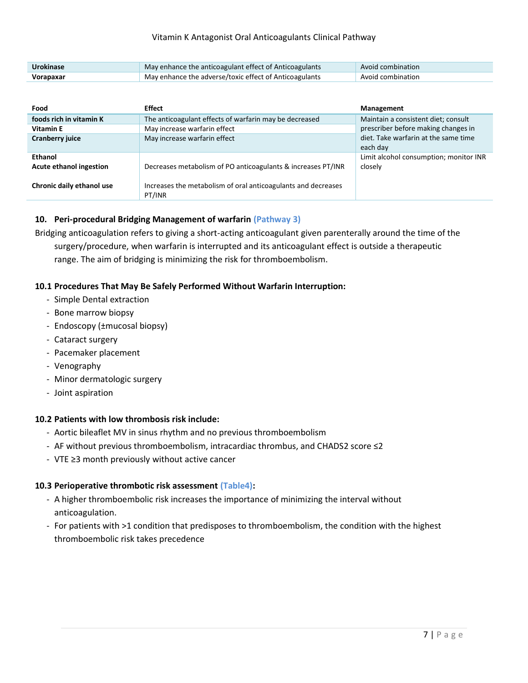| <b>Urokinase</b> | May enhance the anticoagulant effect of Anticoagulants | Avoid combination |
|------------------|--------------------------------------------------------|-------------------|
| Vorapaxar        | May enhance the adverse/toxic effect of Anticoagulants | Avoid combination |

| Food                               | Effect                                                                  | <b>Management</b>                                 |
|------------------------------------|-------------------------------------------------------------------------|---------------------------------------------------|
| foods rich in vitamin K            | The anticoagulant effects of warfarin may be decreased                  | Maintain a consistent diet; consult               |
| <b>Vitamin E</b>                   | May increase warfarin effect                                            | prescriber before making changes in               |
| Cranberry juice                    | May increase warfarin effect                                            | diet. Take warfarin at the same time<br>each day  |
| Ethanol<br>Acute ethanol ingestion | Decreases metabolism of PO anticoagulants & increases PT/INR            | Limit alcohol consumption; monitor INR<br>closely |
| Chronic daily ethanol use          | Increases the metabolism of oral anticoagulants and decreases<br>PT/INR |                                                   |

#### **10. Peri-procedural Bridging Management of warfarin (Pathway 3)**

Bridging anticoagulation refers to giving a short-acting anticoagulant given parenterally around the time of the surgery/procedure, when warfarin is interrupted and its anticoagulant effect is outside a therapeutic range. The aim of bridging is minimizing the risk for thromboembolism.

#### **10.1 Procedures That May Be Safely Performed Without Warfarin Interruption:**

- Simple Dental extraction
- Bone marrow biopsy
- Endoscopy (±mucosal biopsy)
- Cataract surgery
- Pacemaker placement
- Venography
- Minor dermatologic surgery
- Joint aspiration

#### **10.2 Patients with low thrombosis risk include:**

- Aortic bileaflet MV in sinus rhythm and no previous thromboembolism
- AF without previous thromboembolism, intracardiac thrombus, and CHADS2 score ≤2
- VTE ≥3 month previously without active cancer

#### **10.3 Perioperative thrombotic risk assessment (Table4):**

- A higher thromboembolic risk increases the importance of minimizing the interval without anticoagulation.
- For patients with >1 condition that predisposes to thromboembolism, the condition with the highest thromboembolic risk takes precedence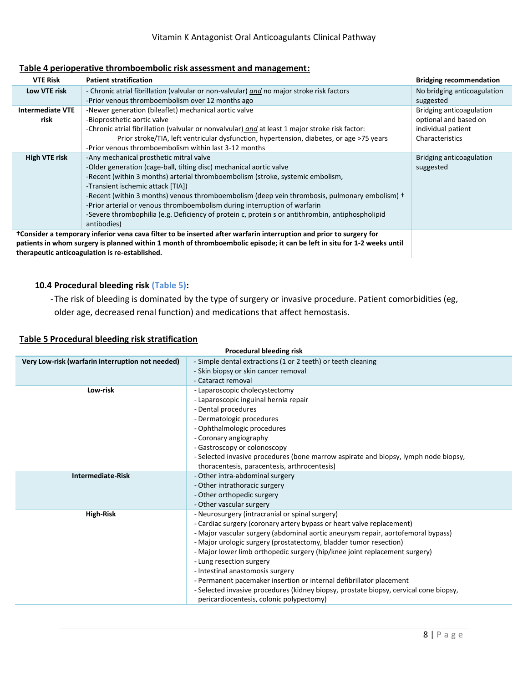#### **Table 4 perioperative thromboembolic risk assessment and management:**

| <b>VTE Risk</b>                                                                                                          | <b>Patient stratification</b>                                                                    | <b>Bridging recommendation</b> |  |
|--------------------------------------------------------------------------------------------------------------------------|--------------------------------------------------------------------------------------------------|--------------------------------|--|
| Low VTE risk                                                                                                             | - Chronic atrial fibrillation (valvular or non-valvular) and no major stroke risk factors        | No bridging anticoagulation    |  |
|                                                                                                                          | -Prior venous thromboembolism over 12 months ago                                                 | suggested                      |  |
| <b>Intermediate VTE</b>                                                                                                  | -Newer generation (bileaflet) mechanical aortic valve                                            | Bridging anticoagulation       |  |
| risk                                                                                                                     | -Bioprosthetic aortic valve                                                                      | optional and based on          |  |
|                                                                                                                          | -Chronic atrial fibrillation (valvular or nonvalvular) and at least 1 major stroke risk factor:  | individual patient             |  |
|                                                                                                                          | Prior stroke/TIA, left ventricular dysfunction, hypertension, diabetes, or age >75 years         | Characteristics                |  |
|                                                                                                                          | -Prior venous thromboembolism within last 3-12 months                                            |                                |  |
| High VTE risk                                                                                                            | -Any mechanical prosthetic mitral valve                                                          | Bridging anticoagulation       |  |
|                                                                                                                          | -Older generation (cage-ball, tilting disc) mechanical aortic valve                              | suggested                      |  |
|                                                                                                                          | -Recent (within 3 months) arterial thromboembolism (stroke, systemic embolism,                   |                                |  |
|                                                                                                                          | -Transient ischemic attack [TIA])                                                                |                                |  |
|                                                                                                                          | -Recent (within 3 months) venous thromboembolism (deep vein thrombosis, pulmonary embolism) +    |                                |  |
|                                                                                                                          | -Prior arterial or venous thromboembolism during interruption of warfarin                        |                                |  |
|                                                                                                                          | -Severe thrombophilia (e.g. Deficiency of protein c, protein s or antithrombin, antiphospholipid |                                |  |
|                                                                                                                          | antibodies)                                                                                      |                                |  |
| †Consider a temporary inferior vena cava filter to be inserted after warfarin interruption and prior to surgery for      |                                                                                                  |                                |  |
| patients in whom surgery is planned within 1 month of thromboembolic episode; it can be left in situ for 1-2 weeks until |                                                                                                  |                                |  |
|                                                                                                                          | therapeutic anticoagulation is re-established.                                                   |                                |  |

#### **10.4 Procedural bleeding risk (Table 5):**

-The risk of bleeding is dominated by the type of surgery or invasive procedure. Patient comorbidities (eg,

older age, decreased renal function) and medications that affect hemostasis.

#### **Table 5 Procedural bleeding risk stratification**

| Procedural bleeding risk                         |                                                                                                                                                                                                                                                                                                                                                                                                                                                                                                                                                                                                                                             |
|--------------------------------------------------|---------------------------------------------------------------------------------------------------------------------------------------------------------------------------------------------------------------------------------------------------------------------------------------------------------------------------------------------------------------------------------------------------------------------------------------------------------------------------------------------------------------------------------------------------------------------------------------------------------------------------------------------|
| Very Low-risk (warfarin interruption not needed) | - Simple dental extractions (1 or 2 teeth) or teeth cleaning<br>- Skin biopsy or skin cancer removal<br>- Cataract removal                                                                                                                                                                                                                                                                                                                                                                                                                                                                                                                  |
| Low-risk                                         | - Laparoscopic cholecystectomy<br>- Laparoscopic inguinal hernia repair<br>- Dental procedures<br>- Dermatologic procedures<br>- Ophthalmologic procedures<br>- Coronary angiography<br>- Gastroscopy or colonoscopy<br>- Selected invasive procedures (bone marrow aspirate and biopsy, lymph node biopsy,<br>thoracentesis, paracentesis, arthrocentesis)                                                                                                                                                                                                                                                                                 |
| <b>Intermediate-Risk</b>                         | - Other intra-abdominal surgery<br>- Other intrathoracic surgery<br>- Other orthopedic surgery<br>- Other vascular surgery                                                                                                                                                                                                                                                                                                                                                                                                                                                                                                                  |
| <b>High-Risk</b>                                 | - Neurosurgery (intracranial or spinal surgery)<br>- Cardiac surgery (coronary artery bypass or heart valve replacement)<br>- Major vascular surgery (abdominal aortic aneurysm repair, aortofemoral bypass)<br>- Major urologic surgery (prostatectomy, bladder tumor resection)<br>- Major lower limb orthopedic surgery (hip/knee joint replacement surgery)<br>- Lung resection surgery<br>- Intestinal anastomosis surgery<br>- Permanent pacemaker insertion or internal defibrillator placement<br>- Selected invasive procedures (kidney biopsy, prostate biopsy, cervical cone biopsy,<br>pericardiocentesis, colonic polypectomy) |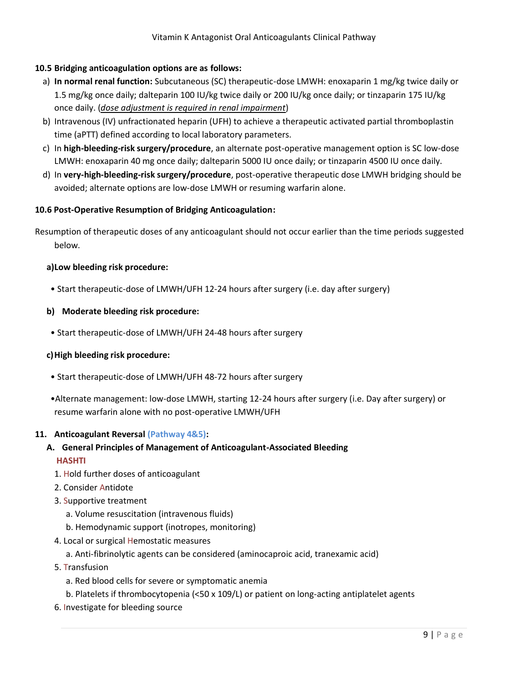#### **10.5 Bridging anticoagulation options are as follows:**

- a) **In normal renal function:** Subcutaneous (SC) therapeutic-dose LMWH: enoxaparin 1 mg/kg twice daily or 1.5 mg/kg once daily; dalteparin 100 IU/kg twice daily or 200 IU/kg once daily; or tinzaparin 175 IU/kg once daily. (*dose adjustment is required in renal impairment*)
- b) Intravenous (IV) unfractionated heparin (UFH) to achieve a therapeutic activated partial thromboplastin time (aPTT) defined according to local laboratory parameters.
- c) In **high-bleeding-risk surgery/procedure**, an alternate post-operative management option is SC low-dose LMWH: enoxaparin 40 mg once daily; dalteparin 5000 IU once daily; or tinzaparin 4500 IU once daily.
- d) In **very-high-bleeding-risk surgery/procedure**, post-operative therapeutic dose LMWH bridging should be avoided; alternate options are low-dose LMWH or resuming warfarin alone.

#### **10.6 Post-Operative Resumption of Bridging Anticoagulation:**

Resumption of therapeutic doses of any anticoagulant should not occur earlier than the time periods suggested below.

#### **a)Low bleeding risk procedure:**

• Start therapeutic-dose of LMWH/UFH 12-24 hours after surgery (i.e. day after surgery)

#### **b) Moderate bleeding risk procedure:**

• Start therapeutic-dose of LMWH/UFH 24-48 hours after surgery

#### **c)High bleeding risk procedure:**

- Start therapeutic-dose of LMWH/UFH 48-72 hours after surgery
- •Alternate management: low-dose LMWH, starting 12-24 hours after surgery (i.e. Day after surgery) or resume warfarin alone with no post-operative LMWH/UFH

#### **11. Anticoagulant Reversal (Pathway 4&5):**

#### **A. General Principles of Management of Anticoagulant-Associated Bleeding HASHTI**

- 1. Hold further doses of anticoagulant
- 2. Consider Antidote
- 3. Supportive treatment
	- a. Volume resuscitation (intravenous fluids)
	- b. Hemodynamic support (inotropes, monitoring)
- 4. Local or surgical Hemostatic measures
	- a. Anti-fibrinolytic agents can be considered (aminocaproic acid, tranexamic acid)
- 5. Transfusion
	- a. Red blood cells for severe or symptomatic anemia
	- b. Platelets if thrombocytopenia (<50 x 109/L) or patient on long-acting antiplatelet agents
- 6. Investigate for bleeding source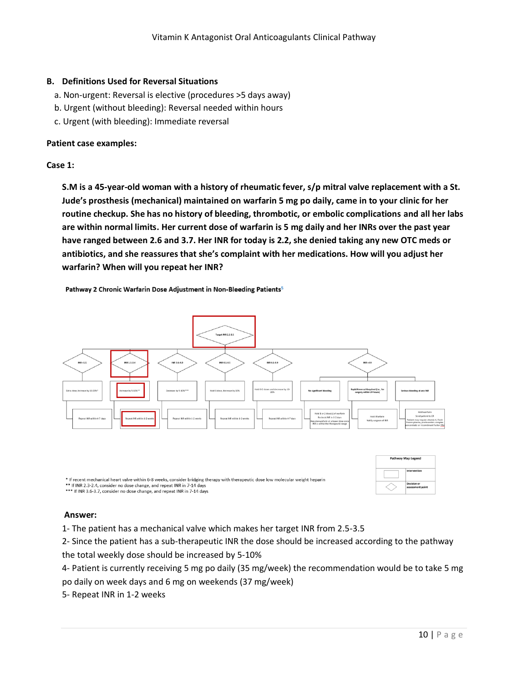#### **B. Definitions Used for Reversal Situations**

- a. Non-urgent: Reversal is elective (procedures >5 days away)
- b. Urgent (without bleeding): Reversal needed within hours
- c. Urgent (with bleeding): Immediate reversal

#### **Patient case examples:**

#### **Case 1:**

**S.M is a 45-year-old woman with a history of rheumatic fever, s/p mitral valve replacement with a St. Jude's prosthesis (mechanical) maintained on warfarin 5 mg po daily, came in to your clinic for her routine checkup. She has no history of bleeding, thrombotic, or embolic complications and all her labs are within normal limits. Her current dose of warfarin is 5 mg daily and her INRs over the past year have ranged between 2.6 and 3.7. Her INR for today is 2.2, she denied taking any new OTC meds or antibiotics, and she reassures that she's complaint with her medications. How will you adjust her warfarin? When will you repeat her INR?**

Pathway 2 Chronic Warfarin Dose Adjustment in Non-Bleeding Patients<sup>5</sup>



\* If recent mechanical heart valve within 6-8 weeks, consider bridging therapy with therapeutic dose low molecular weight heparin \*\* If INR 2.3-2.4, consider no dose change, and repeat INR in 7-14 days \*\*\* If INR 3.6-3.7, consider no dose change, and repeat INR in 7-14 days

#### **Answer:**

1- The patient has a mechanical valve which makes her target INR from 2.5-3.5

2- Since the patient has a sub-therapeutic INR the dose should be increased according to the pathway the total weekly dose should be increased by 5-10%

4- Patient is currently receiving 5 mg po daily (35 mg/week) the recommendation would be to take 5 mg po daily on week days and 6 mg on weekends (37 mg/week)

5- Repeat INR in 1-2 weeks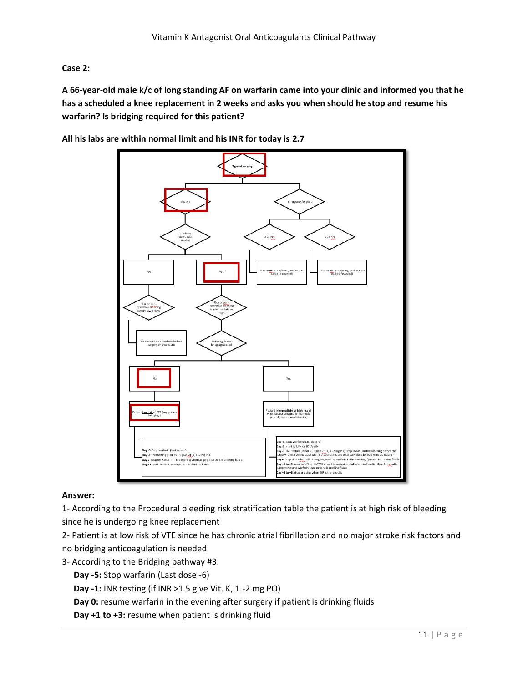#### **Case 2:**

**A 66-year-old male k/c of long standing AF on warfarin came into your clinic and informed you that he has a scheduled a knee replacement in 2 weeks and asks you when should he stop and resume his warfarin? Is bridging required for this patient?**



**All his labs are within normal limit and his INR for today is 2.7**

#### **Answer:**

1- According to the Procedural bleeding risk stratification table the patient is at high risk of bleeding since he is undergoing knee replacement

2- Patient is at low risk of VTE since he has chronic atrial fibrillation and no major stroke risk factors and no bridging anticoagulation is needed

- 3- According to the Bridging pathway #3:
	- **Day -5:** Stop warfarin (Last dose -6)
	- **Day -1:** INR testing (if INR >1.5 give Vit. K, 1.-2 mg PO)
	- **Day 0:** resume warfarin in the evening after surgery if patient is drinking fluids
	- **Day +1 to +3:** resume when patient is drinking fluid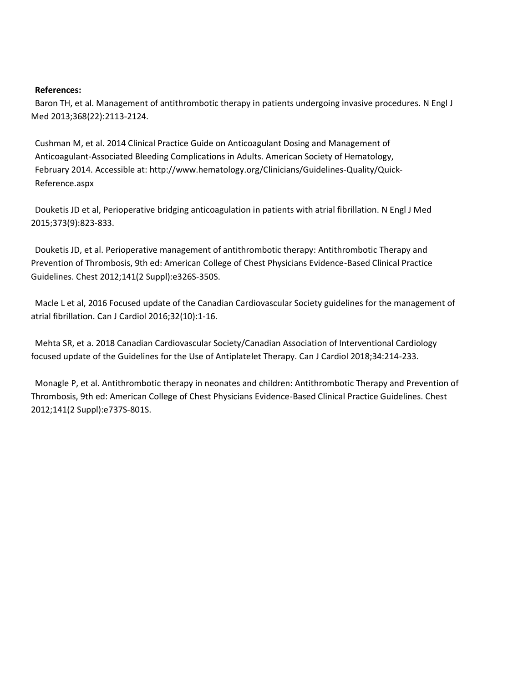#### **References:**

Baron TH, et al. Management of antithrombotic therapy in patients undergoing invasive procedures. N Engl J Med 2013;368(22):2113-2124.

Cushman M, et al. 2014 Clinical Practice Guide on Anticoagulant Dosing and Management of Anticoagulant‐Associated Bleeding Complications in Adults. American Society of Hematology, February 2014. Accessible at: http://www.hematology.org/Clinicians/Guidelines‐Quality/Quick‐ Reference.aspx

Douketis JD et al, Perioperative bridging anticoagulation in patients with atrial fibrillation. N Engl J Med 2015;373(9):823-833.

Douketis JD, et al. Perioperative management of antithrombotic therapy: Antithrombotic Therapy and Prevention of Thrombosis, 9th ed: American College of Chest Physicians Evidence-Based Clinical Practice Guidelines. Chest 2012;141(2 Suppl):e326S-350S.

Macle L et al, 2016 Focused update of the Canadian Cardiovascular Society guidelines for the management of atrial fibrillation. Can J Cardiol 2016;32(10):1-16.

Mehta SR, et a. 2018 Canadian Cardiovascular Society/Canadian Association of Interventional Cardiology focused update of the Guidelines for the Use of Antiplatelet Therapy. Can J Cardiol 2018;34:214-233.

Monagle P, et al. Antithrombotic therapy in neonates and children: Antithrombotic Therapy and Prevention of Thrombosis, 9th ed: American College of Chest Physicians Evidence-Based Clinical Practice Guidelines. Chest 2012;141(2 Suppl):e737S-801S.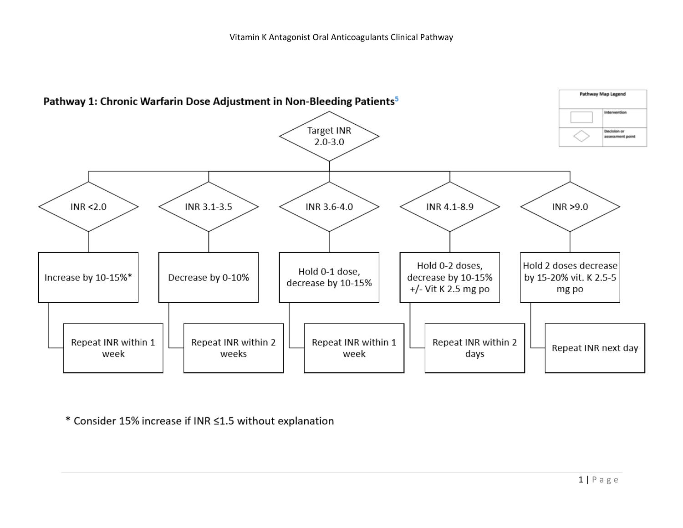

\* Consider 15% increase if INR ≤1.5 without explanation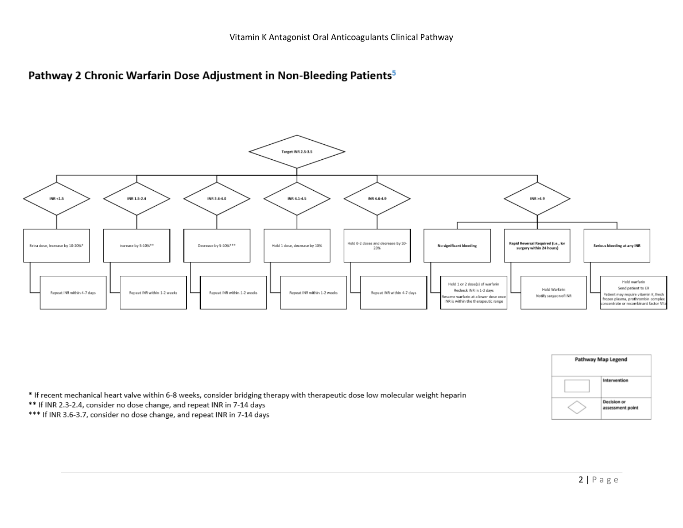





\* If recent mechanical heart valve within 6-8 weeks, consider bridging therapy with therapeutic dose low molecular weight heparin

\*\* If INR 2.3-2.4, consider no dose change, and repeat INR in 7-14 days

\*\*\* If INR 3.6-3.7, consider no dose change, and repeat INR in 7-14 days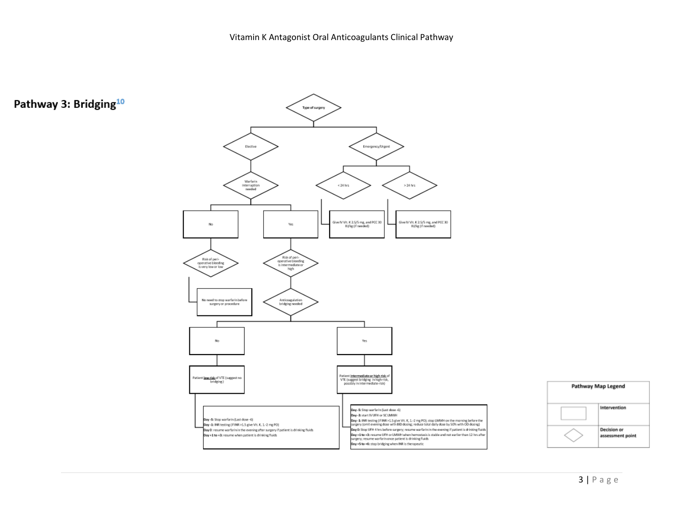



# Pathway 3: Bridging<sup>10</sup>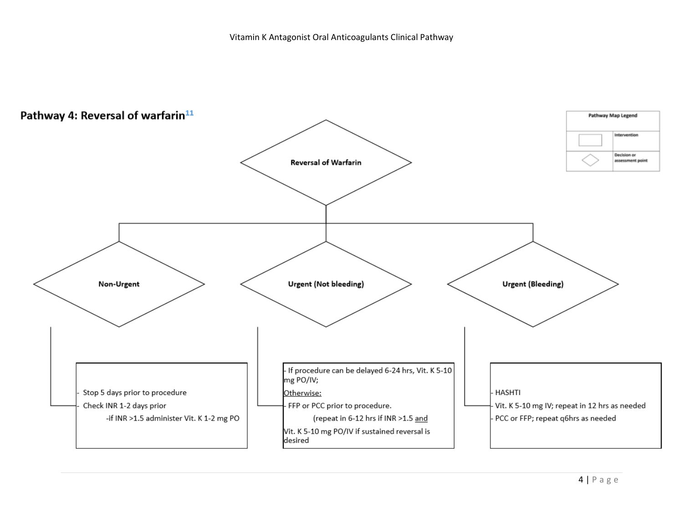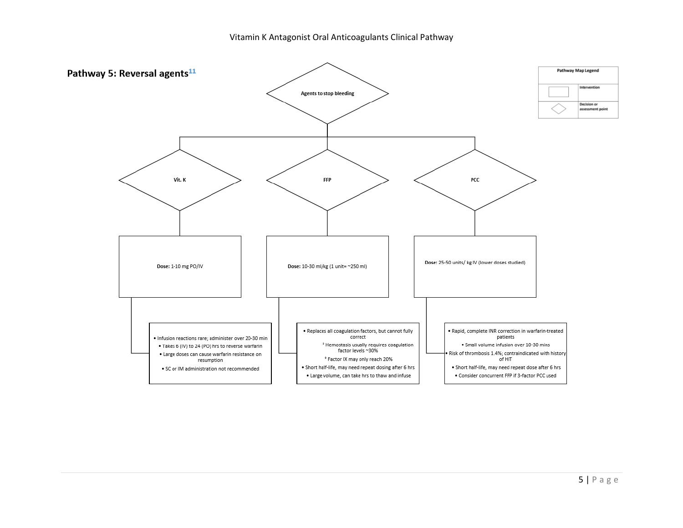